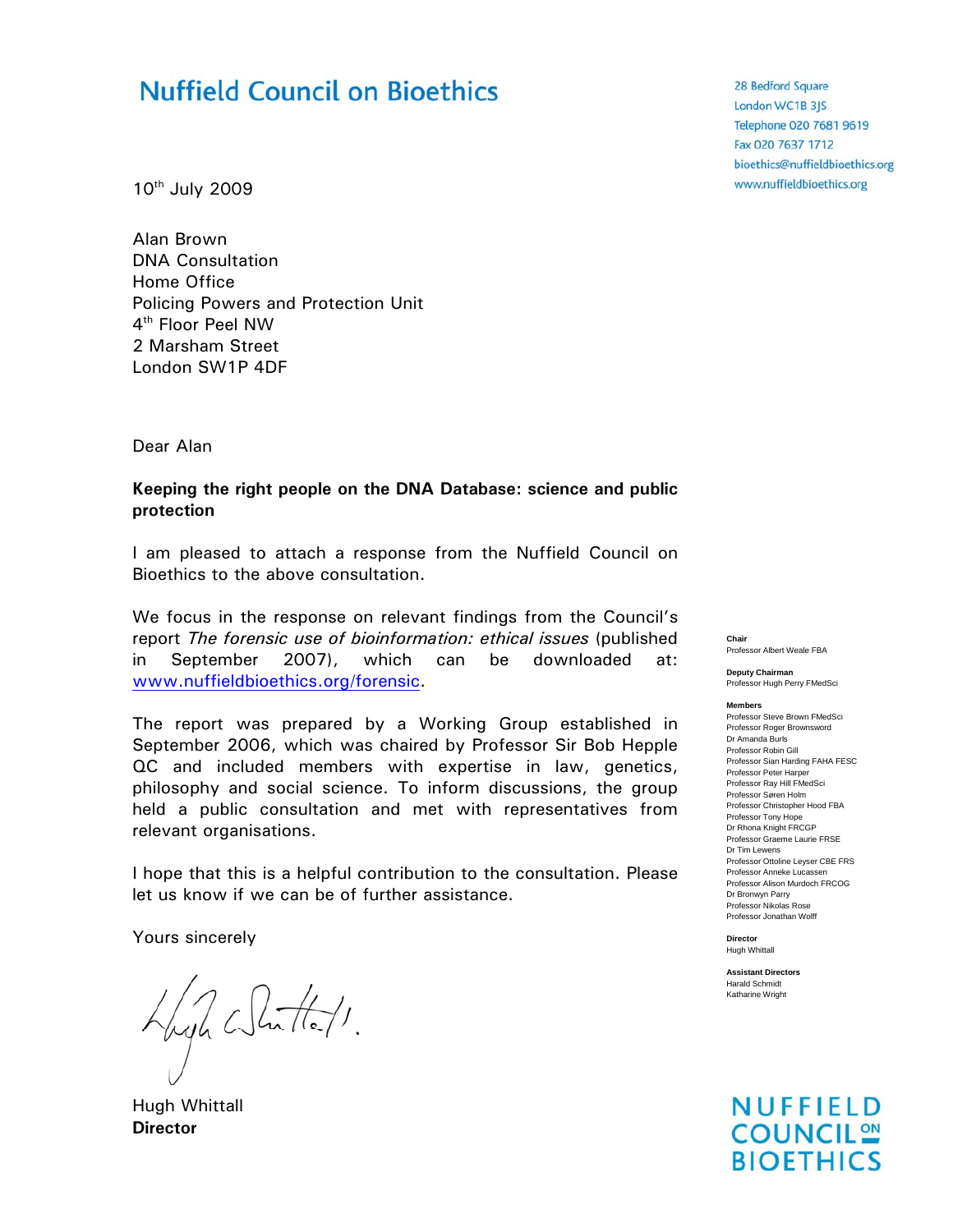# **Nuffield Council on Bioethics**

10th July 2009

Alan Brown DNA Consultation Home Office Policing Powers and Protection Unit 4th Floor Peel NW 2 Marsham Street London SW1P 4DF

Dear Alan

#### **Keeping the right people on the DNA Database: science and public protection**

I am pleased to attach a response from the Nuffield Council on Bioethics to the above consultation.

We focus in the response on relevant findings from the Council's report *The forensic use of bioinformation: ethical issues* (published in September 2007), which can be downloaded at: www.nuffieldbioethics.org/forensic.

The report was prepared by a Working Group established in September 2006, which was chaired by Professor Sir Bob Hepple QC and included members with expertise in law, genetics, philosophy and social science. To inform discussions, the group held a public consultation and met with representatives from relevant organisations.

I hope that this is a helpful contribution to the consultation. Please let us know if we can be of further assistance.

Yours sincerely

Hugh White/1.

Hugh Whittall **Director**

28 Bedford Square London WC1B 3JS Telephone 020 7681 9619 Fax 020 7637 1712 bioethics@nuffieldbioethics.org www.nuffieldbioethics.org

**Chair**  Professor Albert Weale FBA

**Deputy Chairman**  Professor Hugh Perry FMedSci

**Members** Professor Steve Brown FMedSci

Professor Roger Brownsword Dr Amanda Burls Professor Robin Gill Professor Sian Harding FAHA FESC Professor Peter Harper Professor Ray Hill FMedSci Professor Søren Holm Professor Christopher Hood FBA Professor Tony Hope Dr Rhona Knight FRCGP Professor Graeme Laurie FRSE Dr Tim Lewens Professor Ottoline Leyser CBE FRS Professor Anneke Lucassen Professor Alison Murdoch FRCOG Dr Bronwyn Parry Professor Nikolas Rose Professor Jonathan Wolff

**NUFFIELD COUNCIL<sup>ON</sup> BIOETHICS** 

**Director**  Hugh Whittall

**Assistant Directors**  Harald Schmidt Katharine Wright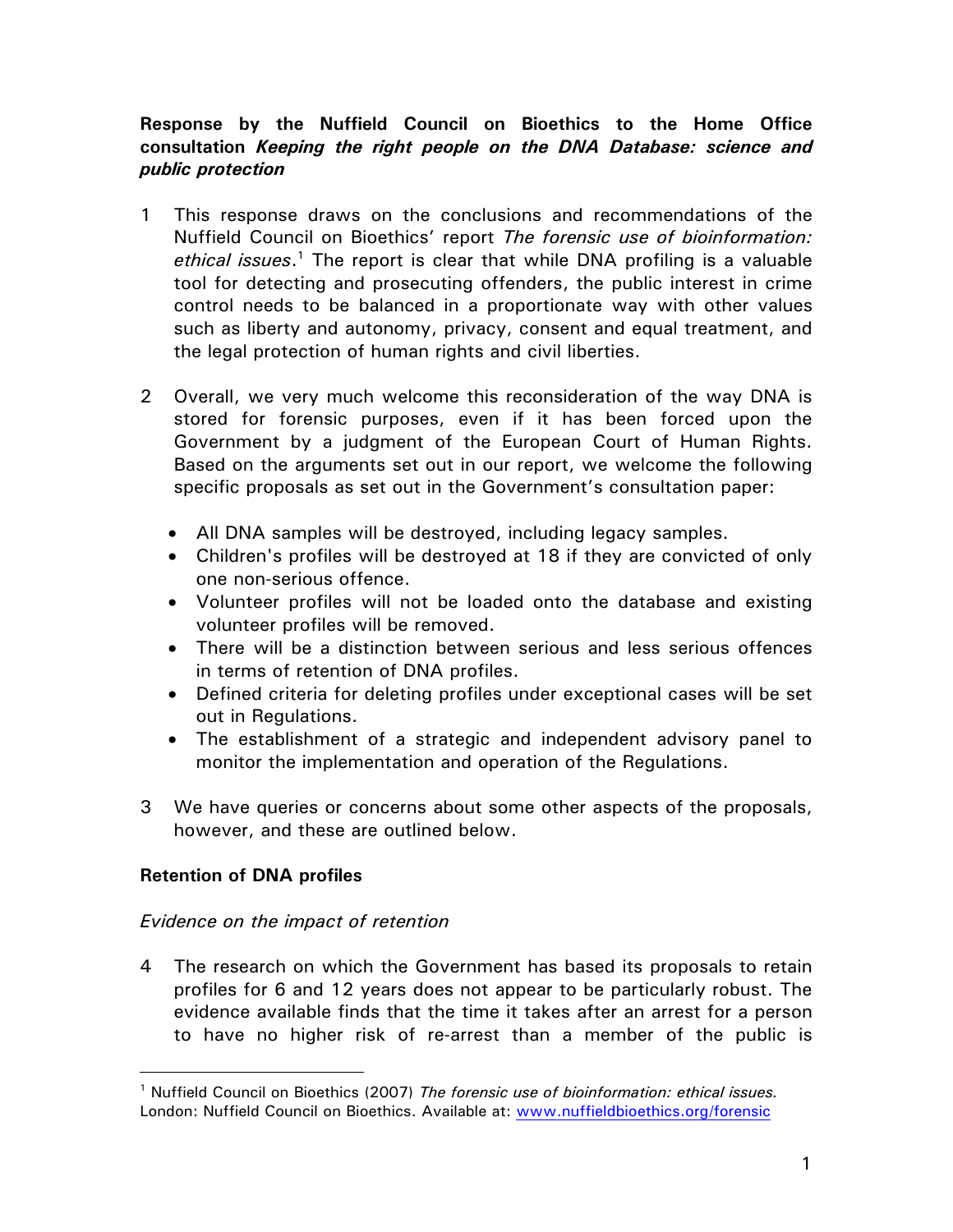## **Response by the Nuffield Council on Bioethics to the Home Office consultation** *Keeping the right people on the DNA Database: science and public protection*

- 1 This response draws on the conclusions and recommendations of the Nuffield Council on Bioethics' report *The forensic use of bioinformation:*  ethical issues.<sup>1</sup> The report is clear that while DNA profiling is a valuable tool for detecting and prosecuting offenders, the public interest in crime control needs to be balanced in a proportionate way with other values such as liberty and autonomy, privacy, consent and equal treatment, and the legal protection of human rights and civil liberties.
- 2 Overall, we very much welcome this reconsideration of the way DNA is stored for forensic purposes, even if it has been forced upon the Government by a judgment of the European Court of Human Rights. Based on the arguments set out in our report, we welcome the following specific proposals as set out in the Government's consultation paper:
	- All DNA samples will be destroyed, including legacy samples.
	- Children's profiles will be destroyed at 18 if they are convicted of only one non-serious offence.
	- Volunteer profiles will not be loaded onto the database and existing volunteer profiles will be removed.
	- There will be a distinction between serious and less serious offences in terms of retention of DNA profiles.
	- Defined criteria for deleting profiles under exceptional cases will be set out in Regulations.
	- The establishment of a strategic and independent advisory panel to monitor the implementation and operation of the Regulations.
- 3 We have queries or concerns about some other aspects of the proposals, however, and these are outlined below.

### **Retention of DNA profiles**

### *Evidence on the impact of retention*

4 The research on which the Government has based its proposals to retain profiles for 6 and 12 years does not appear to be particularly robust. The evidence available finds that the time it takes after an arrest for a person to have no higher risk of re-arrest than a member of the public is

<sup>&</sup>lt;sup>1</sup> Nuffield Council on Bioethics (2007) The forensic use of bioinformation: ethical issues. London: Nuffield Council on Bioethics. Available at: www.nuffieldbioethics.org/forensic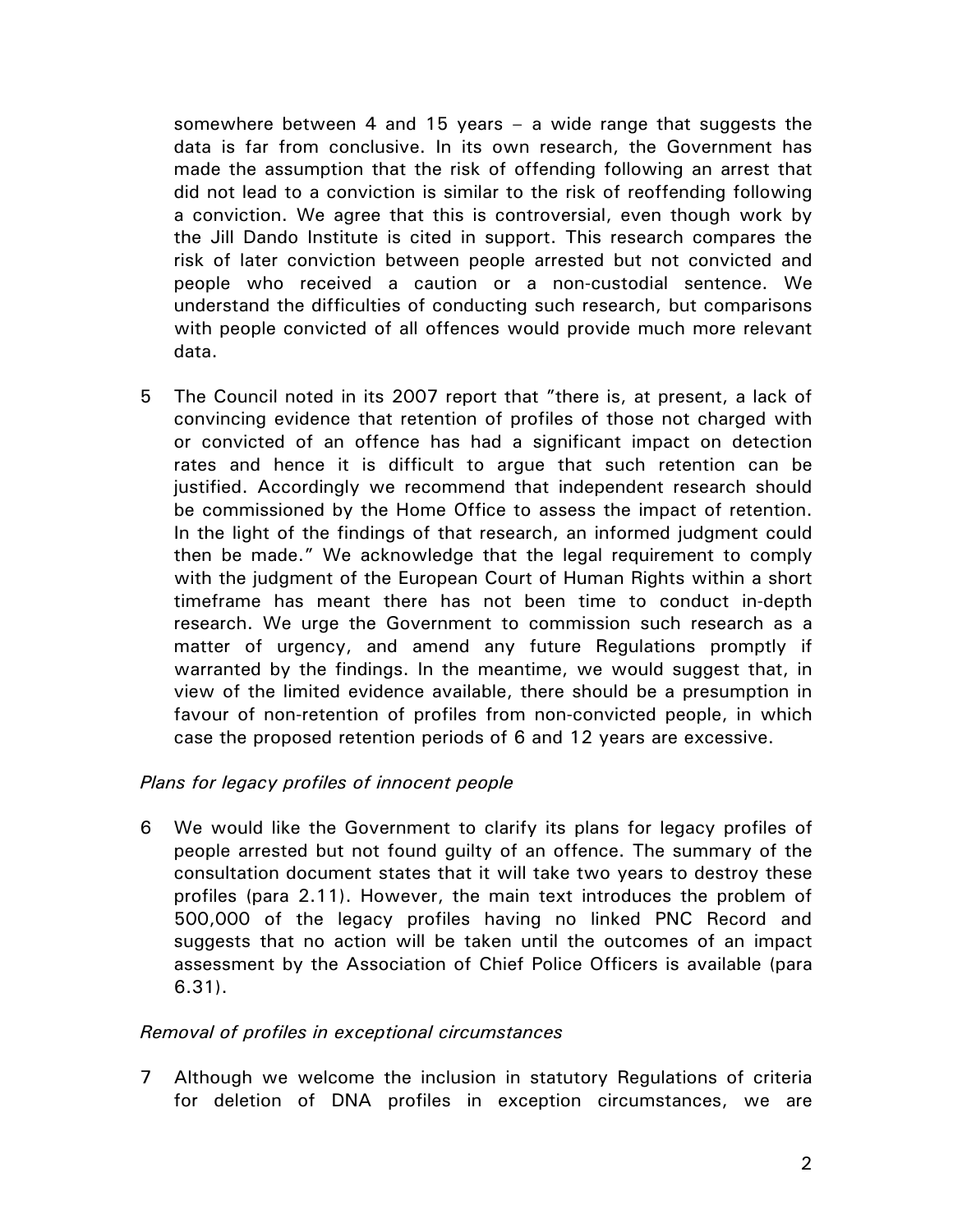somewhere between 4 and 15 years – a wide range that suggests the data is far from conclusive. In its own research, the Government has made the assumption that the risk of offending following an arrest that did not lead to a conviction is similar to the risk of reoffending following a conviction. We agree that this is controversial, even though work by the Jill Dando Institute is cited in support. This research compares the risk of later conviction between people arrested but not convicted and people who received a caution or a non-custodial sentence. We understand the difficulties of conducting such research, but comparisons with people convicted of all offences would provide much more relevant data.

5 The Council noted in its 2007 report that "there is, at present, a lack of convincing evidence that retention of profiles of those not charged with or convicted of an offence has had a significant impact on detection rates and hence it is difficult to argue that such retention can be justified. Accordingly we recommend that independent research should be commissioned by the Home Office to assess the impact of retention. In the light of the findings of that research, an informed judgment could then be made." We acknowledge that the legal requirement to comply with the judgment of the European Court of Human Rights within a short timeframe has meant there has not been time to conduct in-depth research. We urge the Government to commission such research as a matter of urgency, and amend any future Regulations promptly if warranted by the findings. In the meantime, we would suggest that, in view of the limited evidence available, there should be a presumption in favour of non-retention of profiles from non-convicted people, in which case the proposed retention periods of 6 and 12 years are excessive.

### *Plans for legacy profiles of innocent people*

6 We would like the Government to clarify its plans for legacy profiles of people arrested but not found guilty of an offence. The summary of the consultation document states that it will take two years to destroy these profiles (para 2.11). However, the main text introduces the problem of 500,000 of the legacy profiles having no linked PNC Record and suggests that no action will be taken until the outcomes of an impact assessment by the Association of Chief Police Officers is available (para 6.31).

### *Removal of profiles in exceptional circumstances*

7 Although we welcome the inclusion in statutory Regulations of criteria for deletion of DNA profiles in exception circumstances, we are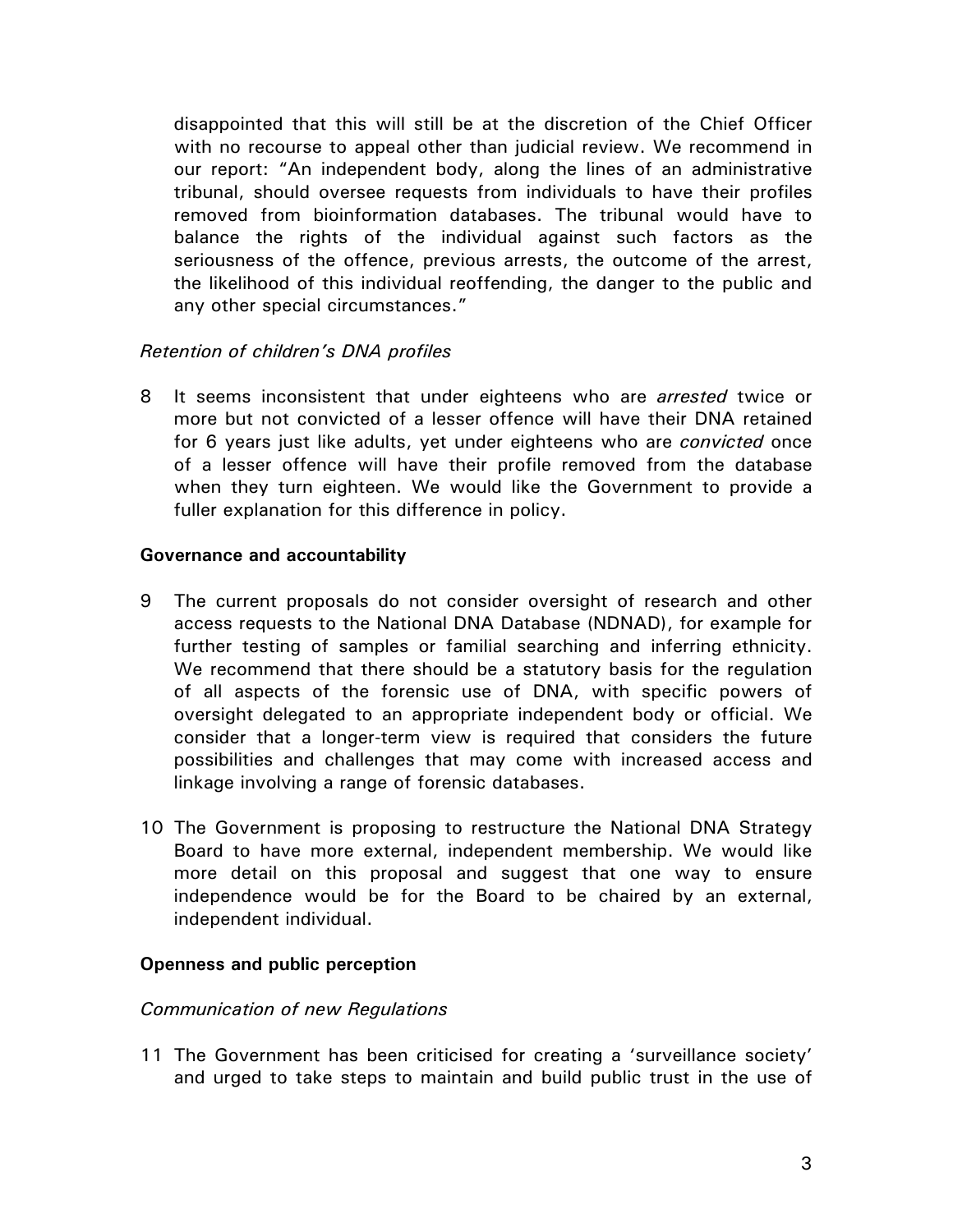disappointed that this will still be at the discretion of the Chief Officer with no recourse to appeal other than judicial review. We recommend in our report: "An independent body, along the lines of an administrative tribunal, should oversee requests from individuals to have their profiles removed from bioinformation databases. The tribunal would have to balance the rights of the individual against such factors as the seriousness of the offence, previous arrests, the outcome of the arrest, the likelihood of this individual reoffending, the danger to the public and any other special circumstances."

## *Retention of children's DNA profiles*

8 It seems inconsistent that under eighteens who are *arrested* twice or more but not convicted of a lesser offence will have their DNA retained for 6 years just like adults, yet under eighteens who are *convicted* once of a lesser offence will have their profile removed from the database when they turn eighteen. We would like the Government to provide a fuller explanation for this difference in policy.

#### **Governance and accountability**

- 9 The current proposals do not consider oversight of research and other access requests to the National DNA Database (NDNAD), for example for further testing of samples or familial searching and inferring ethnicity. We recommend that there should be a statutory basis for the regulation of all aspects of the forensic use of DNA, with specific powers of oversight delegated to an appropriate independent body or official. We consider that a longer-term view is required that considers the future possibilities and challenges that may come with increased access and linkage involving a range of forensic databases.
- 10 The Government is proposing to restructure the National DNA Strategy Board to have more external, independent membership. We would like more detail on this proposal and suggest that one way to ensure independence would be for the Board to be chaired by an external, independent individual.

#### **Openness and public perception**

#### *Communication of new Regulations*

11 The Government has been criticised for creating a 'surveillance society' and urged to take steps to maintain and build public trust in the use of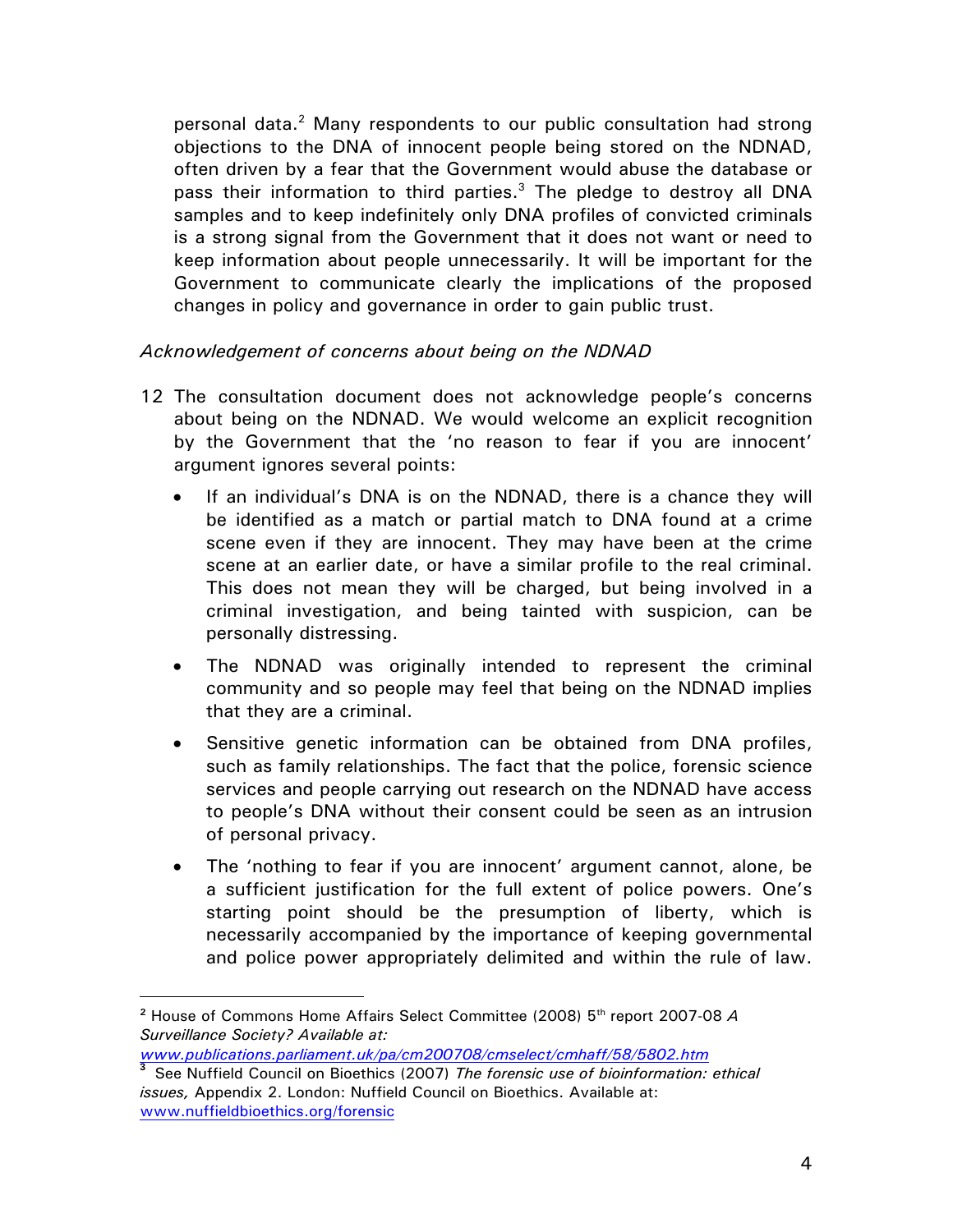personal data.<sup>2</sup> Many respondents to our public consultation had strong objections to the DNA of innocent people being stored on the NDNAD, often driven by a fear that the Government would abuse the database or pass their information to third parties.<sup>3</sup> The pledge to destroy all DNA samples and to keep indefinitely only DNA profiles of convicted criminals is a strong signal from the Government that it does not want or need to keep information about people unnecessarily. It will be important for the Government to communicate clearly the implications of the proposed changes in policy and governance in order to gain public trust.

## *Acknowledgement of concerns about being on the NDNAD*

- 12 The consultation document does not acknowledge people's concerns about being on the NDNAD. We would welcome an explicit recognition by the Government that the 'no reason to fear if you are innocent' argument ignores several points:
	- If an individual's DNA is on the NDNAD, there is a chance they will be identified as a match or partial match to DNA found at a crime scene even if they are innocent. They may have been at the crime scene at an earlier date, or have a similar profile to the real criminal. This does not mean they will be charged, but being involved in a criminal investigation, and being tainted with suspicion, can be personally distressing.
	- The NDNAD was originally intended to represent the criminal community and so people may feel that being on the NDNAD implies that they are a criminal.
	- Sensitive genetic information can be obtained from DNA profiles, such as family relationships. The fact that the police, forensic science services and people carrying out research on the NDNAD have access to people's DNA without their consent could be seen as an intrusion of personal privacy.
	- The 'nothing to fear if you are innocent' argument cannot, alone, be a sufficient justification for the full extent of police powers. One's starting point should be the presumption of liberty, which is necessarily accompanied by the importance of keeping governmental and police power appropriately delimited and within the rule of law.

*www.publications.parliament.uk/pa/cm200708/cmselect/cmhaff/58/5802.htm* 

**<sup>2</sup>** House of Commons Home Affairs Select Committee (2008) 5th report 2007-08 *A Surveillance Society? Available at:* 

**<sup>3</sup>** See Nuffield Council on Bioethics (2007) *The forensic use of bioinformation: ethical issues,* Appendix 2. London: Nuffield Council on Bioethics. Available at: www.nuffieldbioethics.org/forensic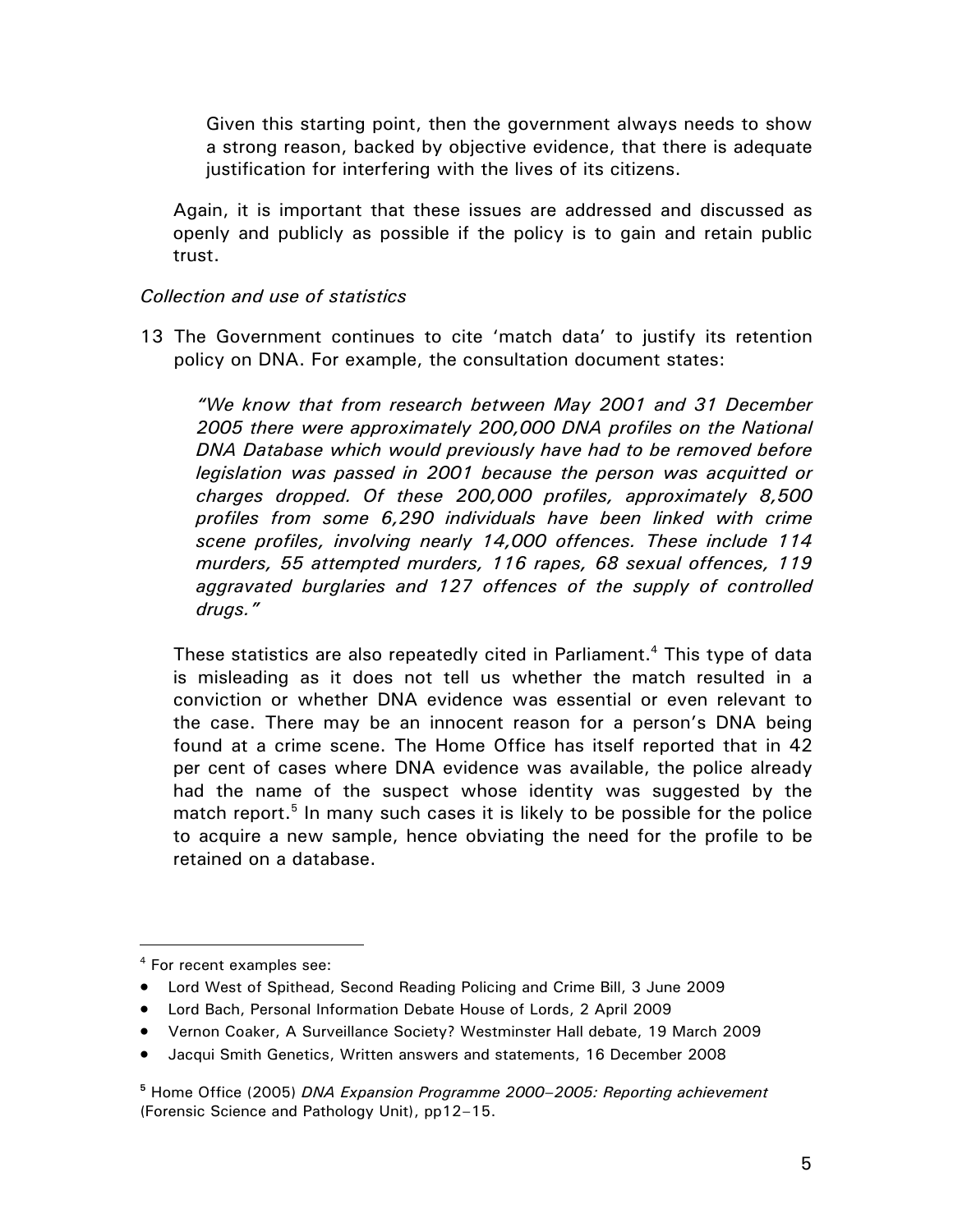Given this starting point, then the government always needs to show a strong reason, backed by objective evidence, that there is adequate justification for interfering with the lives of its citizens.

Again, it is important that these issues are addressed and discussed as openly and publicly as possible if the policy is to gain and retain public trust.

#### *Collection and use of statistics*

13 The Government continues to cite 'match data' to justify its retention policy on DNA. For example, the consultation document states:

*"We know that from research between May 2001 and 31 December 2005 there were approximately 200,000 DNA profiles on the National DNA Database which would previously have had to be removed before legislation was passed in 2001 because the person was acquitted or charges dropped. Of these 200,000 profiles, approximately 8,500 profiles from some 6,290 individuals have been linked with crime scene profiles, involving nearly 14,000 offences. These include 114 murders, 55 attempted murders, 116 rapes, 68 sexual offences, 119 aggravated burglaries and 127 offences of the supply of controlled drugs."* 

These statistics are also repeatedly cited in Parliament. $4$  This type of data is misleading as it does not tell us whether the match resulted in a conviction or whether DNA evidence was essential or even relevant to the case. There may be an innocent reason for a person's DNA being found at a crime scene. The Home Office has itself reported that in 42 per cent of cases where DNA evidence was available, the police already had the name of the suspect whose identity was suggested by the match report.<sup>5</sup> In many such cases it is likely to be possible for the police to acquire a new sample, hence obviating the need for the profile to be retained on a database.

• Jacqui Smith Genetics, Written answers and statements, 16 December 2008

**<sup>5</sup>** Home Office (2005) *DNA Expansion Programme 2000–2005: Reporting achievement*  (Forensic Science and Pathology Unit), pp12–15.

<sup>4</sup> For recent examples see:

<sup>•</sup> Lord West of Spithead, Second Reading Policing and Crime Bill, 3 June 2009

<sup>•</sup> Lord Bach, Personal Information Debate House of Lords, 2 April 2009

<sup>•</sup> Vernon Coaker, A Surveillance Society? Westminster Hall debate, 19 March 2009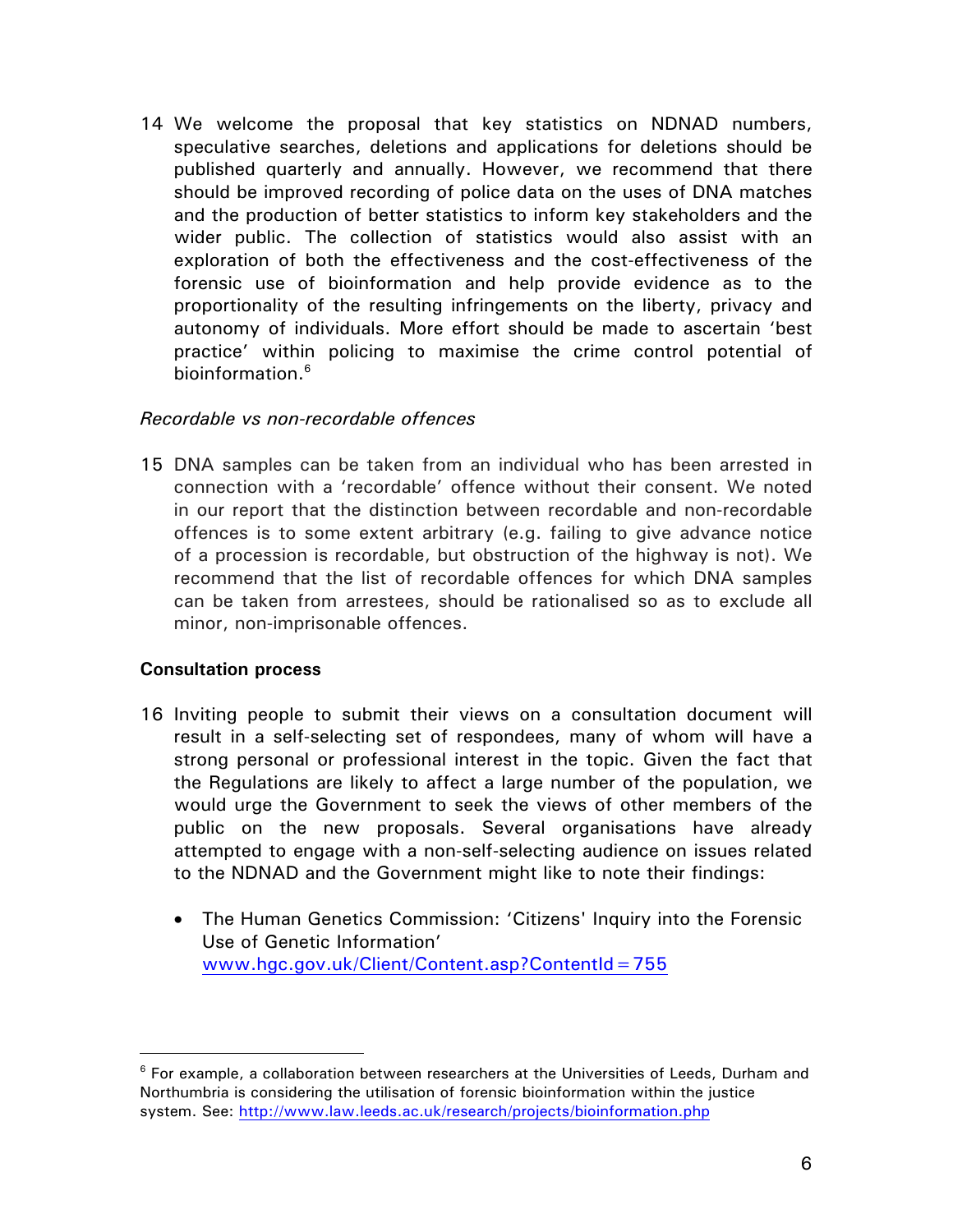14 We welcome the proposal that key statistics on NDNAD numbers, speculative searches, deletions and applications for deletions should be published quarterly and annually. However, we recommend that there should be improved recording of police data on the uses of DNA matches and the production of better statistics to inform key stakeholders and the wider public. The collection of statistics would also assist with an exploration of both the effectiveness and the cost-effectiveness of the forensic use of bioinformation and help provide evidence as to the proportionality of the resulting infringements on the liberty, privacy and autonomy of individuals. More effort should be made to ascertain 'best practice' within policing to maximise the crime control potential of bioinformation.<sup>6</sup>

#### *Recordable vs non-recordable offences*

15 DNA samples can be taken from an individual who has been arrested in connection with a 'recordable' offence without their consent. We noted in our report that the distinction between recordable and non-recordable offences is to some extent arbitrary (e.g. failing to give advance notice of a procession is recordable, but obstruction of the highway is not). We recommend that the list of recordable offences for which DNA samples can be taken from arrestees, should be rationalised so as to exclude all minor, non-imprisonable offences.

#### **Consultation process**

- 16 Inviting people to submit their views on a consultation document will result in a self-selecting set of respondees, many of whom will have a strong personal or professional interest in the topic. Given the fact that the Regulations are likely to affect a large number of the population, we would urge the Government to seek the views of other members of the public on the new proposals. Several organisations have already attempted to engage with a non-self-selecting audience on issues related to the NDNAD and the Government might like to note their findings:
	- The Human Genetics Commission: 'Citizens' Inquiry into the Forensic Use of Genetic Information' www.hgc.gov.uk/Client/Content.asp?ContentId=755

 $6$  For example, a collaboration between researchers at the Universities of Leeds, Durham and Northumbria is considering the utilisation of forensic bioinformation within the justice system. See: http://www.law.leeds.ac.uk/research/projects/bioinformation.php